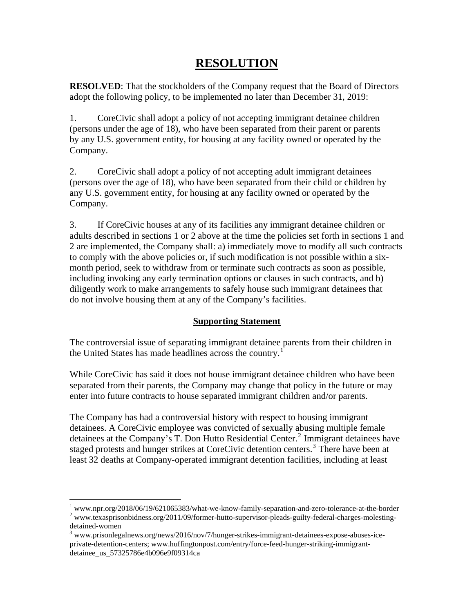## **RESOLUTION**

**RESOLVED**: That the stockholders of the Company request that the Board of Directors adopt the following policy, to be implemented no later than December 31, 2019:

1. CoreCivic shall adopt a policy of not accepting immigrant detainee children (persons under the age of 18), who have been separated from their parent or parents by any U.S. government entity, for housing at any facility owned or operated by the Company.

2. CoreCivic shall adopt a policy of not accepting adult immigrant detainees (persons over the age of 18), who have been separated from their child or children by any U.S. government entity, for housing at any facility owned or operated by the Company.

3. If CoreCivic houses at any of its facilities any immigrant detainee children or adults described in sections 1 or 2 above at the time the policies set forth in sections 1 and 2 are implemented, the Company shall: a) immediately move to modify all such contracts to comply with the above policies or, if such modification is not possible within a sixmonth period, seek to withdraw from or terminate such contracts as soon as possible, including invoking any early termination options or clauses in such contracts, and b) diligently work to make arrangements to safely house such immigrant detainees that do not involve housing them at any of the Company's facilities.

## **Supporting Statement**

The controversial issue of separating immigrant detainee parents from their children in the United States has made headlines across the country.<sup>[1](#page-0-0)</sup>

While CoreCivic has said it does not house immigrant detainee children who have been separated from their parents, the Company may change that policy in the future or may enter into future contracts to house separated immigrant children and/or parents.

The Company has had a controversial history with respect to housing immigrant detainees. A CoreCivic employee was convicted of sexually abusing multiple female detainees at the Company's T. Don Hutto Residential Center.<sup>[2](#page-0-1)</sup> Immigrant detainees have staged protests and hunger strikes at CoreCivic detention centers.<sup>[3](#page-0-2)</sup> There have been at least 32 deaths at Company-operated immigrant detention facilities, including at least

<span id="page-0-1"></span><span id="page-0-0"></span> 1 www.npr.org/2018/06/19/621065383/what-we-know-family-separation-and-zero-tolerance-at-the-border  $2$  www.texasprisonbidness.org/2011/09/former-hutto-supervisor-pleads-guilty-federal-charges-molestingdetained-women

<span id="page-0-2"></span> $3$  www.prisonlegalnews.org/news/2016/nov/7/hunger-strikes-immigrant-detainees-expose-abuses-iceprivate-detention-centers; www.huffingtonpost.com/entry/force-feed-hunger-striking-immigrantdetainee\_us\_57325786e4b096e9f09314ca